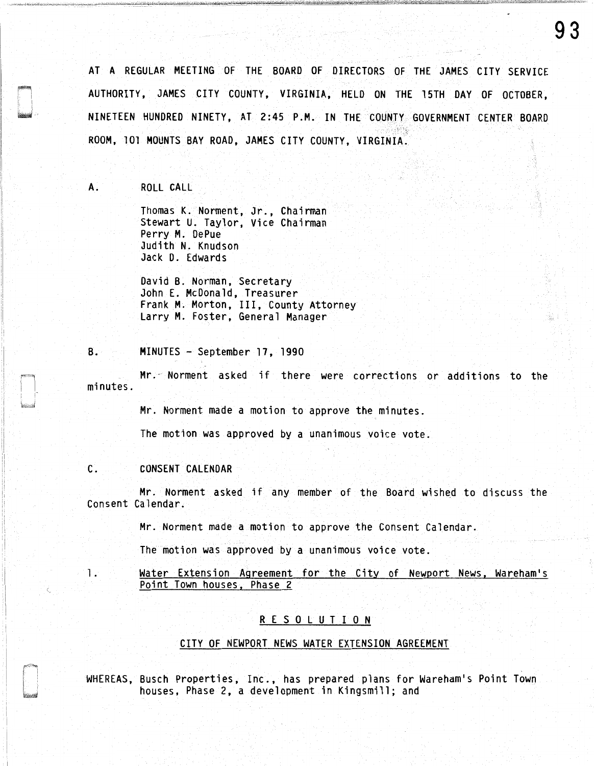AT A REGULAR MEETING OF THE BOARD OF DIRECTORS OF THE JAMES CITY SERVICE AUTHORITY, JAMES CITY COUNTY, VIRGINIA, HELD ON THE l 5TH DAY OF OCTOBER, NINETEEN HUNDRED NINETY, AT 2 :45 P .M. IN THE COUNTY GOVERNMENT CENTER BOARD ROOM, 101 MOUNTS BAY ROAD, JAMES CITY COUNTY, VIRGINIA.

A. ROLL CALL

Thomas K. Norment, Jr., Chairman Stewart U. Taylor, Vice Chairman Perry M. DePue Judith N. Knudson Jack D. Edwards

David B. Norman, Secretary John E. McDonald, Treasurer Frank M. Morton, III, County Attorney Larry M. Foster, General Manager

## B. MINUTES - September 17, 1990

Mr." Norment asked if there were corrections or additions to the minutes.

Mr. Norment made a motion to approve the minutes.

The motion was approved by a unanimous voice vote.

# C. CONSENT CALENDAR

 $\overline{\phantom{a}}$ 

Mr. Norment asked if any member of the Board wished to discuss the Consent Calendar.

Mr. Norment made a motion to approve the Consent Calendar.

The motion was approved by a unanimous voice vote.

l. Water Extension Agreement for the City of Newport News, Wareham's Point Town houses, Phase 2

# R E S 0 L U T I 0 N

## CITY OF NEWPORT NEWS WATER EXTENSION AGREEMENT

WHEREAS, Busch Properties, Inc., has prepared plans for Wareham's Point Town houses, Phase 2, a development in Kingsmill; and